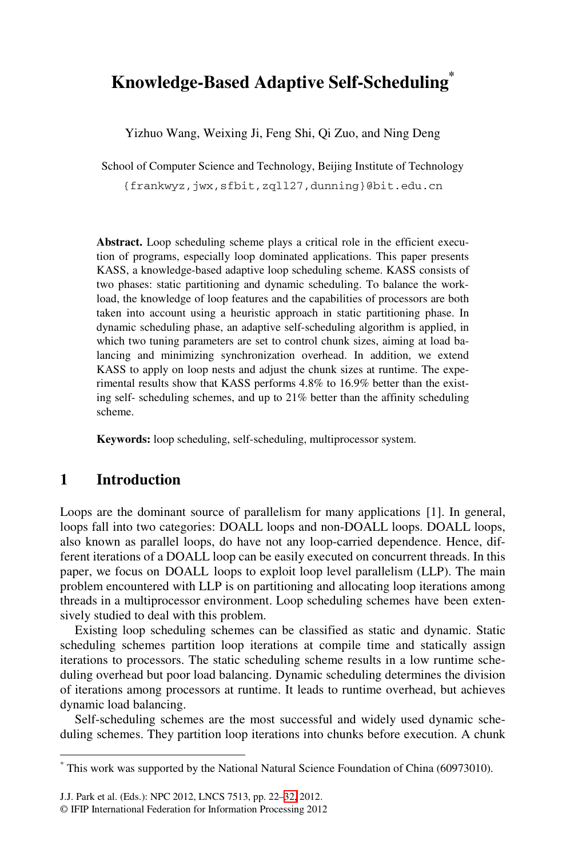# **Knowledge-Based Adaptive Self-Scheduling\***

Yizhuo Wang, Weixing Ji, Feng Shi, Qi Zuo, and Ning Deng

School of Computer Science and Technology, Beijing Institute of Technology

{frankwyz,jwx,sfbit,zqll27,dunning}@bit.edu.cn

Abstract. Loop scheduling scheme plays a critical role in the efficient execution of programs, especially loop dominated applications. This paper presents KASS, a knowledge-based adaptive loop scheduling scheme. KASS consists of two phases: static partitioning and dynamic scheduling. To balance the workload, the knowledge of loop features and the capabilities of processors are both taken into account using a heuristic approach in static partitioning phase. In dynamic scheduling phase, an adaptive self-scheduling algorithm is applied, in which two tuning parameters are set to control chunk sizes, aiming at load balancing and minimizing synchronization overhead. In addition, we extend KASS to apply on loop nests and adjust the chunk sizes at runtime. The experimental results show that KASS performs 4.8% to 16.9% better than the existing self- scheduling schemes, and up to 21% better than the affinity scheduling scheme.

**Keywords:** loop scheduling, self-scheduling, multiprocessor system.

# **1 Introduction**

-

Loops are the dominant source of parallelism for many applications [1]. In general, loops fall into two categories: DOALL loops and non-DOALL loops. DOALL loops, also known as parallel loops, do have not any loop-carried dependence. Hence, different iterations of a DOALL loop can be easily executed on concurrent threads. In this paper, we focus on DOALL loops to exploit loop level parallelism (LLP). The main problem encountered with LLP is on partitioning and allocating loop iterations among threads in a multiprocessor environment. Loop scheduling schemes have been extensively studied to deal with this problem.

Existing loop scheduling schemes can be classified as static and dynamic. Static scheduling schemes partition loop iterations at compile time and statically assign iterations to processors. The static scheduling scheme results in a low runtime scheduling overhead but po[or l](#page-10-0)oad balancing. Dynamic scheduling determines the division of iterations among processors at runtime. It leads to runtime overhead, but achieves dynamic load balancing.

Self-scheduling schemes are the most successful and widely used dynamic scheduling schemes. They partition loop iterations into chunks before execution. A chunk

<sup>\*</sup> This work was supported by the National Natural Science Foundation of China (60973010).

J.J. Park et al. (Eds.): NPC 2012, LNCS 7513, pp. 22–32, 2012.

<sup>©</sup> IFIP International Federation for Information Processing 2012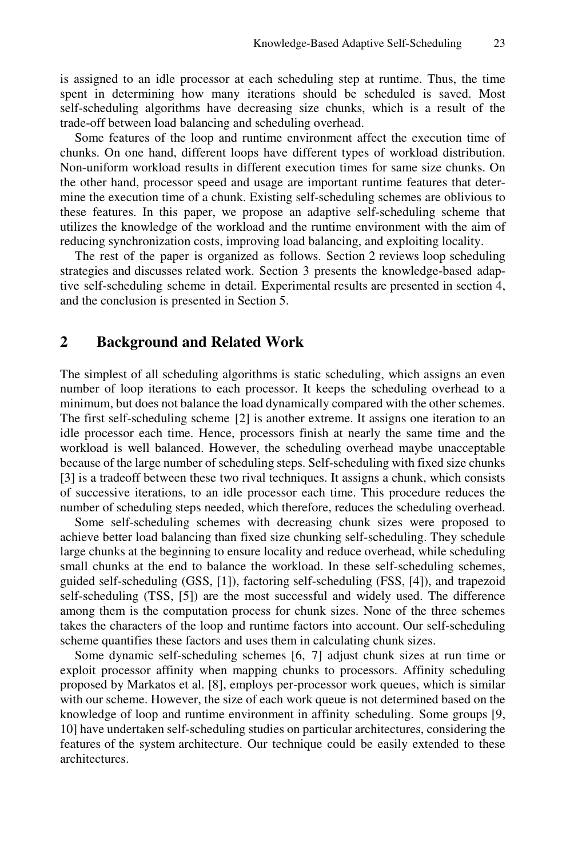is assigned to an idle processor at each scheduling step at runtime. Thus, the time spent in determining how many iterations should be scheduled is saved. Most self-scheduling algorithms have decreasing size chunks, which is a result of the trade-off between load balancing and scheduling overhead.

Some features of the loop and runtime environment affect the execution time of chunks. On one hand, different loops have different types of workload distribution. Non-uniform workload results in different execution times for same size chunks. On the other hand, processor speed and usage are important runtime features that determine the execution time of a chunk. Existing self-scheduling schemes are oblivious to these features. In this paper, we propose an adaptive self-scheduling scheme that utilizes the knowledge of the workload and the runtime environment with the aim of reducing synchronization costs, improving load balancing, and exploiting locality.

The rest of the paper is organized as follows. Section 2 reviews loop scheduling strategies and discusses related work. Section 3 presents the knowledge-based adaptive self-scheduling scheme in detail. Experimental results are presented in section 4, and the conclusion is presented in Section 5.

# **2 Background and Related Work**

The simplest of all scheduling algorithms is static scheduling, which assigns an even number of loop iterations to each processor. It keeps the scheduling overhead to a minimum, but does not balance the load dynamically compared with the other schemes. The first self-scheduling scheme [2] is another extreme. It assigns one iteration to an idle processor each time. Hence, processors finish at nearly the same time and the workload is well balanced. However, the scheduling overhead maybe unacceptable because of the large number of scheduling steps. Self-scheduling with fixed size chunks [3] is a tradeoff between these two rival techniques. It assigns a chunk, which consists of successive iterations, to an idle processor each time. This procedure reduces the number of scheduling steps needed, which therefore, reduces the scheduling overhead.

Some self-scheduling schemes with decreasing chunk sizes were proposed to achieve better load balancing than fixed size chunking self-scheduling. They schedule large chunks at the beginning to ensure locality and reduce overhead, while scheduling small chunks at the end to balance the workload. In these self-scheduling schemes, guided self-scheduling (GSS, [1]), factoring self-scheduling (FSS, [4]), and trapezoid self-scheduling (TSS, [5]) are the most successful and widely used. The difference among them is the computation process for chunk sizes. None of the three schemes takes the characters of the loop and runtime factors into account. Our self-scheduling scheme quantifies these factors and uses them in calculating chunk sizes.

Some dynamic self-scheduling schemes [6, 7] adjust chunk sizes at run time or exploit processor affinity when mapping chunks to processors. Affinity scheduling proposed by Markatos et al. [8], employs per-processor work queues, which is similar with our scheme. However, the size of each work queue is not determined based on the knowledge of loop and runtime environment in affinity scheduling. Some groups [9, 10] have undertaken self-scheduling studies on particular architectures, considering the features of the system architecture. Our technique could be easily extended to these architectures.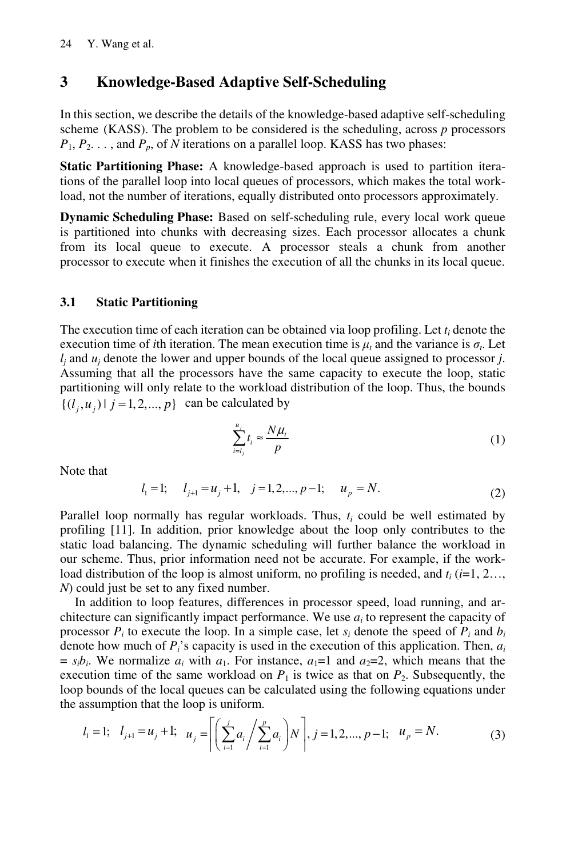# **3 Knowledge-Based Adaptive Self-Scheduling**

In this section, we describe the details of the knowledge-based adaptive self-scheduling scheme (KASS). The problem to be considered is the scheduling, across *p* processors  $P_1, P_2, \ldots$ , and  $P_p$ , of *N* iterations on a parallel loop. KASS has two phases:

**Static Partitioning Phase:** A knowledge-based approach is used to partition iterations of the parallel loop into local queues of processors, which makes the total workload, not the number of iterations, equally distributed onto processors approximately.

**Dynamic Scheduling Phase:** Based on self-scheduling rule, every local work queue is partitioned into chunks with decreasing sizes. Each processor allocates a chunk from its local queue to execute. A processor steals a chunk from another processor to execute when it finishes the execution of all the chunks in its local queue.

## **3.1 Static Partitioning**

The execution time of each iteration can be obtained via loop profiling. Let  $t_i$  denote the execution time of *i*th iteration. The mean execution time is  $\mu_t$  and the variance is  $\sigma_t$ . Let *lj* and *uj* denote the lower and upper bounds of the local queue assigned to processor *j*. Assuming that all the processors have the same capacity to execute the loop, static partitioning will only relate to the workload distribution of the loop. Thus, the bounds  $\{(l_i, u_i) | j = 1, 2, ..., p\}$  can be calculated by

$$
\sum_{i=l_j}^{u_j} t_i \approx \frac{N\mu_t}{p} \tag{1}
$$

Note that

$$
l_1 = 1;
$$
  $l_{j+1} = u_j + 1$ ,  $j = 1, 2, ..., p-1;$   $u_p = N$ . (2)

Parallel loop normally has regular workloads. Thus, *ti* could be well estimated by profiling [11]. In addition, prior knowledge about the loop only contributes to the static load balancing. The dynamic scheduling will further balance the workload in our scheme. Thus, prior information need not be accurate. For example, if the workload distribution of the loop is almost uniform, no profiling is needed, and  $t_i$  ( $i=1, 2...$ , *N*) could just be set to any fixed number.

In addition to loop features, differences in processor speed, load running, and architecture can significantly impact performance. We use *ai* to represent the capacity of processor  $P_i$  to execute the loop. In a simple case, let  $s_i$  denote the speed of  $P_i$  and  $b_i$ denote how much of *Pi*'s capacity is used in the execution of this application. Then, *ai*  $s_i b_i$ . We normalize  $a_i$  with  $a_1$ . For instance,  $a_1 = 1$  and  $a_2 = 2$ , which means that the execution time of the same workload on  $P_1$  is twice as that on  $P_2$ . Subsequently, the loop bounds of the local queues can be calculated using the following equations under the assumption that the loop is uniform.

$$
l_1 = 1; \quad l_{j+1} = u_j + 1; \quad u_j = \left[ \left( \sum_{i=1}^j a_i / \sum_{i=1}^p a_i \right) N \right], j = 1, 2, ..., p-1; \quad u_p = N. \tag{3}
$$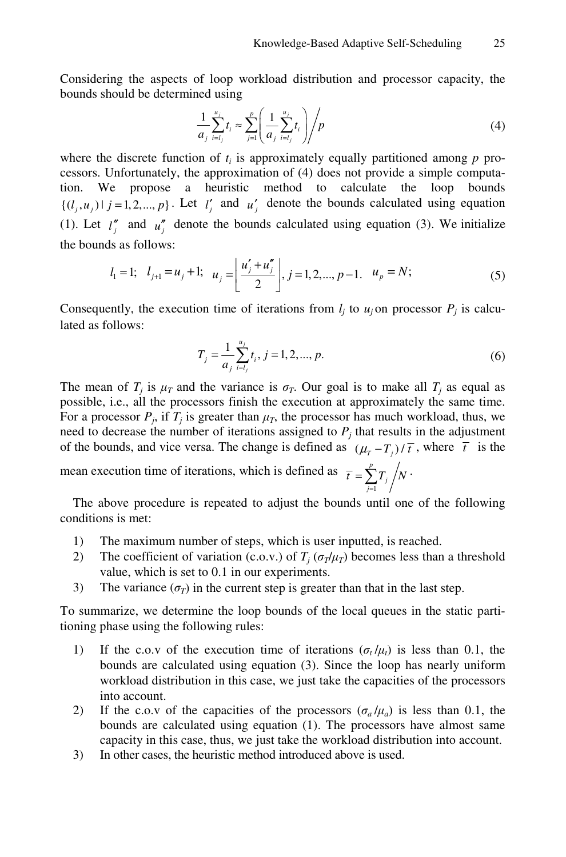Considering the aspects of loop workload distribution and processor capacity, the bounds should be determined using

$$
\frac{1}{a_j} \sum_{i=l_j}^{u_j} t_i \approx \sum_{j=1}^p \left( \frac{1}{a_j} \sum_{i=l_j}^{u_j} t_i \right) / p \tag{4}
$$

where the discrete function of  $t_i$  is approximately equally partitioned among  $p$  processors. Unfortunately, the approximation of (4) does not provide a simple computation. We propose a heuristic method to calculate the loop bounds  $\{(l_j, u_j) | j = 1, 2, \dots, p\}$ . Let  $l'_j$  and  $u'_j$  denote the bounds calculated using equation (1). Let  $l_j''$  and  $u_j''$  denote the bounds calculated using equation (3). We initialize the bounds as follows:

$$
l_1 = 1; \quad l_{j+1} = u_j + 1; \quad u_j = \left\lfloor \frac{u'_j + u''_j}{2} \right\rfloor, j = 1, 2, ..., p-1, \quad u_p = N;
$$
 (5)

Consequently, the execution time of iterations from  $l_i$  to  $u_j$  on processor  $P_i$  is calculated as follows:

$$
T_j = \frac{1}{a_j} \sum_{i=l_j}^{u_j} t_i, j = 1, 2, ..., p.
$$
 (6)

The mean of  $T_j$  is  $\mu_T$  and the variance is  $\sigma_T$ . Our goal is to make all  $T_j$  as equal as possible, i.e., all the processors finish the execution at approximately the same time. For a processor  $P_j$ , if  $T_j$  is greater than  $\mu_T$ , the processor has much workload, thus, we need to decrease the number of iterations assigned to  $P_j$  that results in the adjustment of the bounds, and vice versa. The change is defined as  $(\mu_{T} - T_{i})/\overline{t}$ , where  $\overline{t}$  is the

mean execution time of iterations, which is defined as 1 *p*  $\overline{t} = \sum_{j=1}^{n} T_j / N$  $=\sum_{j=1}^{\nu}T_j/N$ .

The above procedure is repeated to adjust the bounds until one of the following conditions is met:

- 1) The maximum number of steps, which is user inputted, is reached.
- 2) The coefficient of variation (c.o.v.) of  $T_i$  ( $\sigma_T/\mu_T$ ) becomes less than a threshold value, which is set to 0.1 in our experiments.
- 3) The variance  $(\sigma_T)$  in the current step is greater than that in the last step.

To summarize, we determine the loop bounds of the local queues in the static partitioning phase using the following rules:

- 1) If the c.o.v of the execution time of iterations  $(\sigma_t / \mu_t)$  is less than 0.1, the bounds are calculated using equation (3). Since the loop has nearly uniform workload distribution in this case, we just take the capacities of the processors into account.
- 2) If the c.o.v of the capacities of the processors  $(\sigma_a/\mu_a)$  is less than 0.1, the bounds are calculated using equation (1). The processors have almost same capacity in this case, thus, we just take the workload distribution into account.
- 3) In other cases, the heuristic method introduced above is used.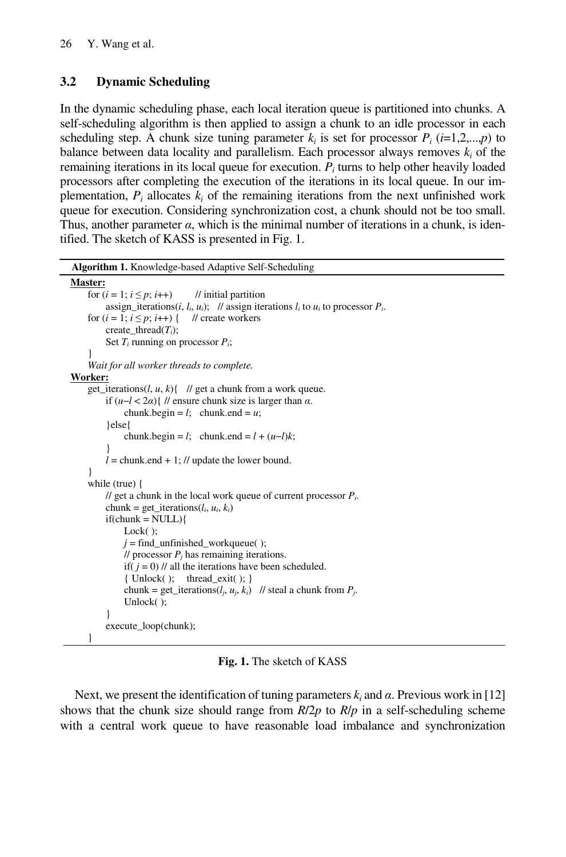# **3.2 Dynamic Scheduling**

In the dynamic scheduling phase, each local iteration queue is partitioned into chunks. A self-scheduling algorithm is then applied to assign a chunk to an idle processor in each scheduling step. A chunk size tuning parameter  $k_i$  is set for processor  $P_i$  ( $i=1,2,...,p$ ) to balance between data locality and parallelism. Each processor always removes  $k_i$  of the remaining iterations in its local queue for execution. *Pi* turns to help other heavily loaded processors after completing the execution of the iterations in its local queue. In our implementation,  $P_i$  allocates  $k_i$  of the remaining iterations from the next unfinished work queue for execution. Considering synchronization cost, a chunk should not be too small. Thus, another parameter  $\alpha$ , which is the minimal number of iterations in a chunk, is identified. The sketch of KASS is presented in Fig. 1.

**Algorithm 1.** Knowledge-based Adaptive Self-Scheduling

```
Master:
    for (i = 1; i \leq p; i++) // initial partition
        assign_iterations(i, l_i, u_i); // assign iterations l_i to u_i to processor P_i.
    for (i = 1; i \leq p; i++) { // create workers
          create_thread(Ti); 
          Set Ti running on processor Pi; 
 } 
     Wait for all worker threads to complete. 
Worker:
    get_iterations(l, u, k){ // get a chunk from a work queue.
          if (u−l < 2α){ // ensure chunk size is larger than α. 
             chunk.begin = l; chunk.end = u;
          }else{ 
             chunk.begin = l; chunk.end = l + (u-l)k;
 } 
         l = chunk.end + 1; // update the lower bound.
     } 
     while (true) { 
          // get a chunk in the local work queue of current processor Pi. 
         chunk = get_iterations(l_i, u_i, k_i)
         if(chunk = NULL)\{ Lock( ); 
             j = find_unfinished_workqueue(\cdot);
             \frac{1}{\sqrt{2}} processor P_i has remaining iterations.
             if( j = 0) // all the iterations have been scheduled.
              { Unlock(); thread_exit( ); }
              chunk = get_iterations(l_i, u_i, k_i) // steal a chunk from P_i.
              Unlock( ); 
 } 
          execute_loop(chunk); 
     }
```
**Fig. 1.** The sketch of KASS

Next, we present the identification of tuning parameters  $k_i$  and  $\alpha$ . Previous work in [12] shows that the chunk size should range from *R*/2*p* to *R*/*p* in a self-scheduling scheme with a central work queue to have reasonable load imbalance and synchronization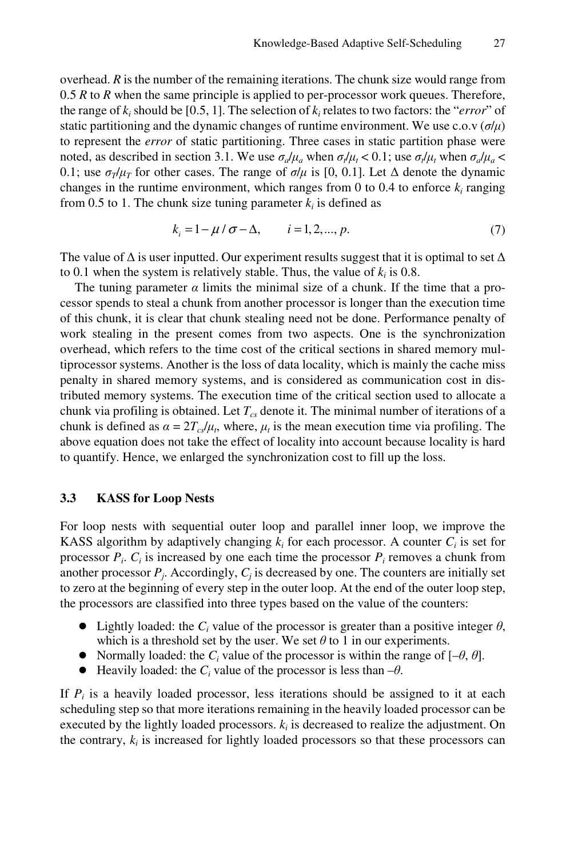overhead. *R* is the number of the remaining iterations. The chunk size would range from 0.5 *R* to *R* when the same principle is applied to per-processor work queues. Therefore, the range of  $k_i$  should be [0.5, 1]. The selection of  $k_i$  relates to two factors: the "*error*" of static partitioning and the dynamic changes of runtime environment. We use c.o.v  $(\sigma/\mu)$ to represent the *error* of static partitioning. Three cases in static partition phase were noted, as described in section 3.1. We use  $\sigma_a/\mu_a$  when  $\sigma_f/\mu_t < 0.1$ ; use  $\sigma_f/\mu_t$  when  $\sigma_a/\mu_a <$ 0.1; use  $\sigma_T/\mu_T$  for other cases. The range of  $\sigma/\mu$  is [0, 0.1]. Let  $\Delta$  denote the dynamic changes in the runtime environment, which ranges from 0 to 0.4 to enforce  $k_i$  ranging from 0.5 to 1. The chunk size tuning parameter  $k_i$  is defined as

$$
k_i = 1 - \mu / \sigma - \Delta, \qquad i = 1, 2, ..., p. \tag{7}
$$

The value of  $\Delta$  is user inputted. Our experiment results suggest that it is optimal to set  $\Delta$ to 0.1 when the system is relatively stable. Thus, the value of  $k_i$  is 0.8.

The tuning parameter  $\alpha$  limits the minimal size of a chunk. If the time that a processor spends to steal a chunk from another processor is longer than the execution time of this chunk, it is clear that chunk stealing need not be done. Performance penalty of work stealing in the present comes from two aspects. One is the synchronization overhead, which refers to the time cost of the critical sections in shared memory multiprocessor systems. Another is the loss of data locality, which is mainly the cache miss penalty in shared memory systems, and is considered as communication cost in distributed memory systems. The execution time of the critical section used to allocate a chunk via profiling is obtained. Let  $T_{cs}$  denote it. The minimal number of iterations of a chunk is defined as  $\alpha = 2T_c/\mu_t$ , where,  $\mu_t$  is the mean execution time via profiling. The above equation does not take the effect of locality into account because locality is hard to quantify. Hence, we enlarged the synchronization cost to fill up the loss.

#### **3.3 KASS for Loop Nests**

For loop nests with sequential outer loop and parallel inner loop, we improve the KASS algorithm by adaptively changing  $k_i$  for each processor. A counter  $C_i$  is set for processor  $P_i$ .  $C_i$  is increased by one each time the processor  $P_i$  removes a chunk from another processor  $P_i$ . Accordingly,  $C_i$  is decreased by one. The counters are initially set to zero at the beginning of every step in the outer loop. At the end of the outer loop step, the processors are classified into three types based on the value of the counters:

- Lightly loaded: the  $C_i$  value of the processor is greater than a positive integer  $\theta$ , which is a threshold set by the user. We set  $\theta$  to 1 in our experiments.
- Normally loaded: the  $C_i$  value of the processor is within the range of  $[-\theta, \theta]$ .
- Heavily loaded: the  $C_i$  value of the processor is less than  $-\theta$ .

If  $P_i$  is a heavily loaded processor, less iterations should be assigned to it at each scheduling step so that more iterations remaining in the heavily loaded processor can be executed by the lightly loaded processors.  $k_i$  is decreased to realize the adjustment. On the contrary,  $k_i$  is increased for lightly loaded processors so that these processors can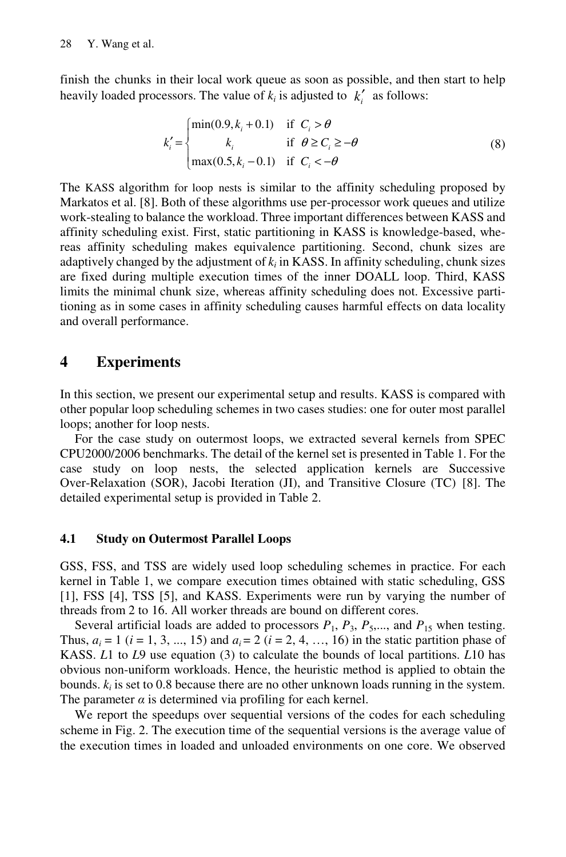finish the chunks in their local work queue as soon as possible, and then start to help heavily loaded processors. The value of  $k_i$  is adjusted to  $k'_i$  as follows:

$$
k'_{i} = \begin{cases} \min(0.9, k_{i} + 0.1) & \text{if } C_{i} > \theta \\ k_{i} & \text{if } \theta \ge C_{i} \ge -\theta \\ \max(0.5, k_{i} - 0.1) & \text{if } C_{i} < -\theta \end{cases}
$$
(8)

The KASS algorithm for loop nests is similar to the affinity scheduling proposed by Markatos et al. [8]. Both of these algorithms use per-processor work queues and utilize work-stealing to balance the workload. Three important differences between KASS and affinity scheduling exist. First, static partitioning in KASS is knowledge-based, whereas affinity scheduling makes equivalence partitioning. Second, chunk sizes are adaptively changed by the adjustment of  $k_i$  in KASS. In affinity scheduling, chunk sizes are fixed during multiple execution times of the inner DOALL loop. Third, KASS limits the minimal chunk size, whereas affinity scheduling does not. Excessive partitioning as in some cases in affinity scheduling causes harmful effects on data locality and overall performance.

# **4 Experiments**

In this section, we present our experimental setup and results. KASS is compared with other popular loop scheduling schemes in two cases studies: one for outer most parallel loops; another for loop nests.

For the case study on outermost loops, we extracted several kernels from SPEC CPU2000/2006 benchmarks. The detail of the kernel set is presented in Table 1. For the case study on loop nests, the selected application kernels are Successive Over-Relaxation (SOR), Jacobi Iteration (JI), and Transitive Closure (TC) [8]. The detailed experimental setup is provided in Table 2.

### **4.1 Study on Outermost Parallel Loops**

GSS, FSS, and TSS are widely used loop scheduling schemes in practice. For each kernel in Table 1, we compare execution times obtained with static scheduling, GSS [1], FSS [4], TSS [5], and KASS. Experiments were run by varying the number of threads from 2 to 16. All worker threads are bound on different cores.

Several artificial loads are added to processors  $P_1$ ,  $P_3$ ,  $P_5$ ,..., and  $P_{15}$  when testing. Thus,  $a_i = 1$  ( $i = 1, 3, ..., 15$ ) and  $a_i = 2$  ( $i = 2, 4, ..., 16$ ) in the static partition phase of KASS. *L*1 to *L*9 use equation (3) to calculate the bounds of local partitions. *L*10 has obvious non-uniform workloads. Hence, the heuristic method is applied to obtain the bounds.  $k_i$  is set to 0.8 because there are no other unknown loads running in the system. The parameter  $\alpha$  is determined via profiling for each kernel.

We report the speedups over sequential versions of the codes for each scheduling scheme in Fig. 2. The execution time of the sequential versions is the average value of the execution times in loaded and unloaded environments on one core. We observed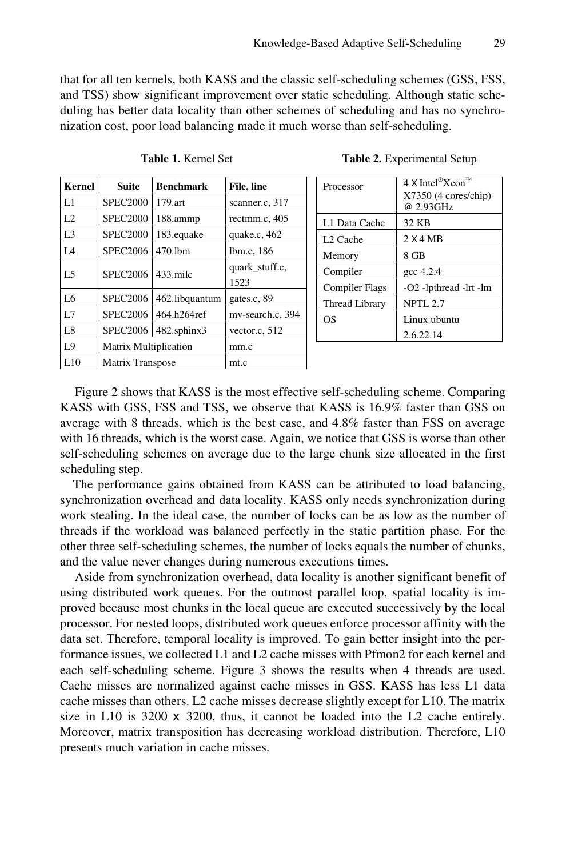that for all ten kernels, both KASS and the classic self-scheduling schemes (GSS, FSS, and TSS) show significant improvement over static scheduling. Although static scheduling has better data locality than other schemes of scheduling and has no synchronization cost, poor load balancing made it much worse than self-scheduling.

| <b>Kernel</b>  | <b>Suite</b>                 | <b>Benchmark</b> | File, line             | <b>Proces</b>      |
|----------------|------------------------------|------------------|------------------------|--------------------|
| L1             | <b>SPEC2000</b>              | 179.art          | scanner.c, 317         |                    |
| L2             | <b>SPEC2000</b>              | 188.ammp         | rectmm.c, 405          | L1 Dat             |
| L <sub>3</sub> | <b>SPEC2000</b>              | 183.equake       | quake.c. $462$         | L <sub>2</sub> Cac |
| L <sub>4</sub> | <b>SPEC2006</b>              | 470.1bm          | lbm.c, 186             | Memor              |
| L <sub>5</sub> | <b>SPEC2006</b>              | $433$ mile       | quark stuff.c.<br>1523 | Compi              |
| L <sub>6</sub> | <b>SPEC2006</b>              | 462.libquantum   | gates.c, 89            | Compi<br>Thread    |
| L7             | <b>SPEC2006</b>              | 464.h264ref      | mv-search.c, 394       | OS                 |
| L8             | <b>SPEC2006</b>              | 482.sphinx3      | vector.c, 512          |                    |
| L9             | <b>Matrix Multiplication</b> |                  | mm.c                   |                    |
| L10            | Matrix Transpose             |                  | mt.c                   |                    |

| Processor             | $4 \times$ Intel®Xeon™<br>$X7350$ (4 cores/chip)<br>@ 2.93GHz |  |
|-----------------------|---------------------------------------------------------------|--|
| L1 Data Cache         | 32 KB                                                         |  |
| L <sub>2</sub> Cache  | 2 X4 MB                                                       |  |
| Memory                | 8 GB                                                          |  |
| Compiler              | $\csc 4.2.4$                                                  |  |
| <b>Compiler Flags</b> | -O2 -lpthread -lrt -lm                                        |  |
| Thread Library        | <b>NPTL 2.7</b>                                               |  |
| OS                    | Linux ubuntu                                                  |  |
|                       | 2.6.22.14                                                     |  |

Table 1. Kernel Set **Table 2.** Experimental Setup

Figure 2 shows that KASS is the most effective self-scheduling scheme. Comparing KASS with GSS, FSS and TSS, we observe that KASS is 16.9% faster than GSS on average with 8 threads, which is the best case, and 4.8% faster than FSS on average with 16 threads, which is the worst case. Again, we notice that GSS is worse than other self-scheduling schemes on average due to the large chunk size allocated in the first scheduling step.

The performance gains obtained from KASS can be attributed to load balancing, synchronization overhead and data locality. KASS only needs synchronization during work stealing. In the ideal case, the number of locks can be as low as the number of threads if the workload was balanced perfectly in the static partition phase. For the other three self-scheduling schemes, the number of locks equals the number of chunks, and the value never changes during numerous executions times.

Aside from synchronization overhead, data locality is another significant benefit of using distributed work queues. For the outmost parallel loop, spatial locality is improved because most chunks in the local queue are executed successively by the local processor. For nested loops, distributed work queues enforce processor affinity with the data set. Therefore, temporal locality is improved. To gain better insight into the performance issues, we collected L1 and L2 cache misses with Pfmon2 for each kernel and each self-scheduling scheme. Figure 3 shows the results when 4 threads are used. Cache misses are normalized against cache misses in GSS. KASS has less L1 data cache misses than others. L2 cache misses decrease slightly except for L10. The matrix size in L10 is  $3200 \times 3200$ , thus, it cannot be loaded into the L2 cache entirely. Moreover, matrix transposition has decreasing workload distribution. Therefore, L10 presents much variation in cache misses.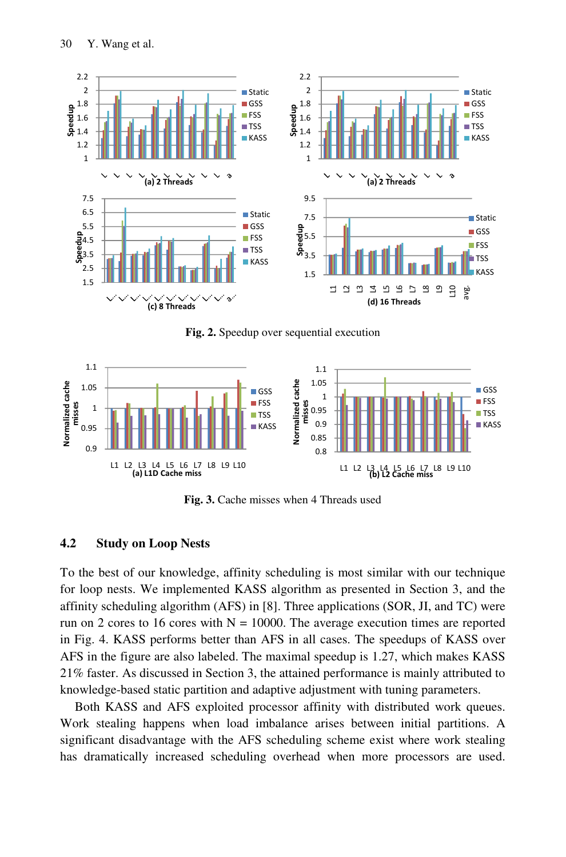

**Fig. 2.** Speedup over sequential execution



**Fig. 3.** Cache misses when 4 Threads used

### **4.2 Study on Loop Nests**

To the best of our knowledge, affinity scheduling is most similar with our technique for loop nests. We implemented KASS algorithm as presented in Section 3, and the affinity scheduling algorithm (AFS) in [8]. Three applications (SOR, JI, and TC) were run on 2 cores to 16 cores with  $N = 10000$ . The average execution times are reported in Fig. 4. KASS performs better than AFS in all cases. The speedups of KASS over AFS in the figure are also labeled. The maximal speedup is 1.27, which makes KASS 21% faster. As discussed in Section 3, the attained performance is mainly attributed to knowledge-based static partition and adaptive adjustment with tuning parameters.

Both KASS and AFS exploited processor affinity with distributed work queues. Work stealing happens when load imbalance arises between initial partitions. A significant disadvantage with the AFS scheduling scheme exist where work stealing has dramatically increased scheduling overhead when more processors are used.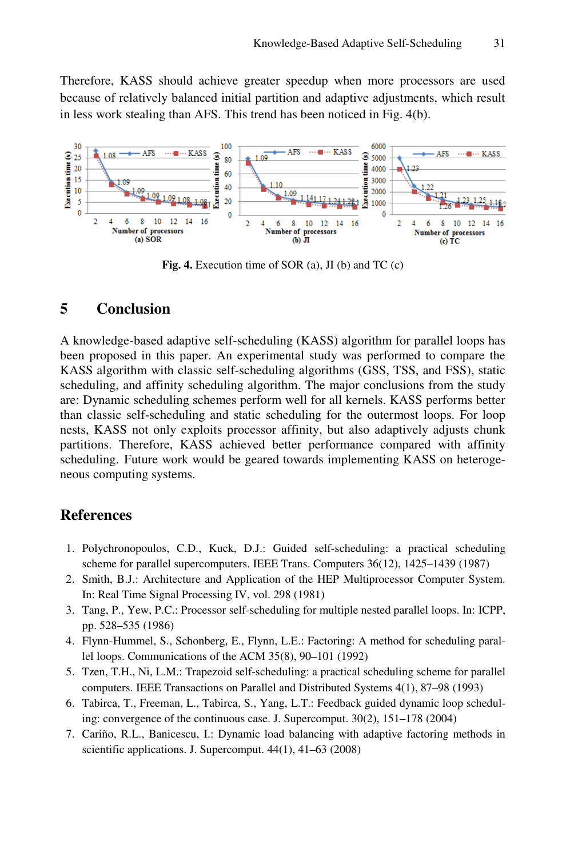Therefore, KASS should achieve greater speedup when more processors are used because of relatively balanced initial partition and adaptive adjustments, which result in less work stealing than AFS. This trend has been noticed in Fig. 4(b).



**Fig. 4.** Execution time of SOR (a), JI (b) and TC (c)

# **5 Conclusion**

A knowledge-based adaptive self-scheduling (KASS) algorithm for parallel loops has been proposed in this paper. An experimental study was performed to compare the KASS algorithm with classic self-scheduling algorithms (GSS, TSS, and FSS), static scheduling, and affinity scheduling algorithm. The major conclusions from the study are: Dynamic scheduling schemes perform well for all kernels. KASS performs better than classic self-scheduling and static scheduling for the outermost loops. For loop nests, KASS not only exploits processor affinity, but also adaptively adjusts chunk partitions. Therefore, KASS achieved better performance compared with affinity scheduling. Future work would be geared towards implementing KASS on heterogeneous computing systems.

## **References**

- 1. Polychronopoulos, C.D., Kuck, D.J.: Guided self-scheduling: a practical scheduling scheme for parallel supercomputers. IEEE Trans. Computers 36(12), 1425–1439 (1987)
- 2. Smith, B.J.: Architecture and Application of the HEP Multiprocessor Computer System. In: Real Time Signal Processing IV, vol. 298 (1981)
- 3. Tang, P., Yew, P.C.: Processor self-scheduling for multiple nested parallel loops. In: ICPP, pp. 528–535 (1986)
- 4. Flynn-Hummel, S., Schonberg, E., Flynn, L.E.: Factoring: A method for scheduling parallel loops. Communications of the ACM 35(8), 90–101 (1992)
- 5. Tzen, T.H., Ni, L.M.: Trapezoid self-scheduling: a practical scheduling scheme for parallel computers. IEEE Transactions on Parallel and Distributed Systems 4(1), 87–98 (1993)
- 6. Tabirca, T., Freeman, L., Tabirca, S., Yang, L.T.: Feedback guided dynamic loop scheduling: convergence of the continuous case. J. Supercomput. 30(2), 151–178 (2004)
- 7. Cariño, R.L., Banicescu, I.: Dynamic load balancing with adaptive factoring methods in scientific applications. J. Supercomput. 44(1), 41–63 (2008)